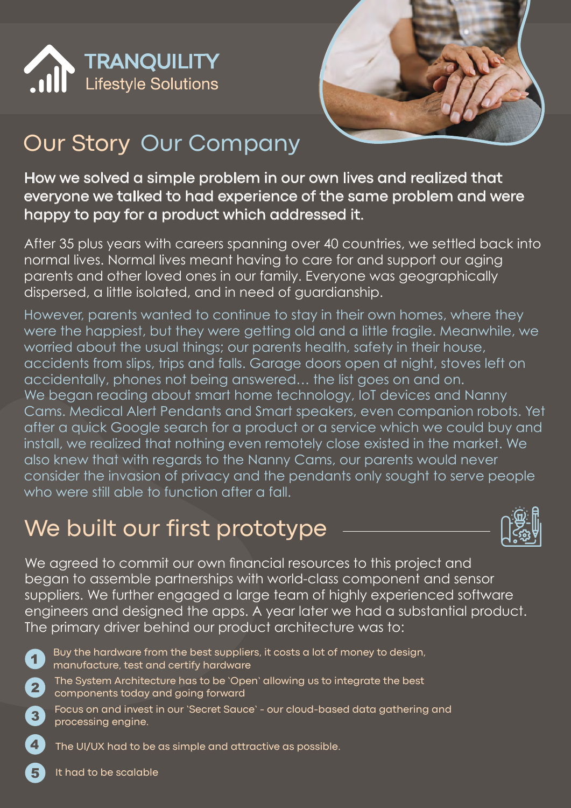



# Our Story Our Company

How we solved a simple problem in our own lives and realized that everyone we talked to had experience of the same problem and were happy to pay for a product which addressed it.

After 35 plus years with careers spanning over 40 countries, we settled back into normal lives. Normal lives meant having to care for and support our aging parents and other loved ones in our family. Everyone was geographically dispersed, a little isolated, and in need of guardianship.

However, parents wanted to continue to stay in their own homes, where they were the happiest, but they were getting old and a little fragile. Meanwhile, we worried about the usual things; our parents health, safety in their house, accidents from slips, trips and falls. Garage doors open at night, stoves left on accidentally, phones not being answered… the list goes on and on. We began reading about smart home technology, IoT devices and Nanny Cams. Medical Alert Pendants and Smart speakers, even companion robots. Yet after a quick Google search for a product or a service which we could buy and install, we realized that nothing even remotely close existed in the market. We also knew that with regards to the Nanny Cams, our parents would never consider the invasion of privacy and the pendants only sought to serve people who were still able to function after a fall.

## We built our first prototype



We agreed to commit our own financial resources to this project and began to assemble partnerships with world-class component and sensor suppliers. We further engaged a large team of highly experienced software engineers and designed the apps. A year later we had a substantial product. The primary driver behind our product architecture was to:

 $\overline{1}$  $\overline{2}$ 

 $\overline{\mathbf{4}}$ 

- Buy the hardware from the best suppliers, it costs a lot of money to design, manufacture, test and certify hardware
- The System Architecture has to be 'Open' allowing us to integrate the best components today and going forward
- Focus on and invest in our 'Secret Sauce' our cloud-based data gathering and  $3<sup>1</sup>$ processing engine.
	- The UI/UX had to be as simple and attractive as possible.

It had to be scalable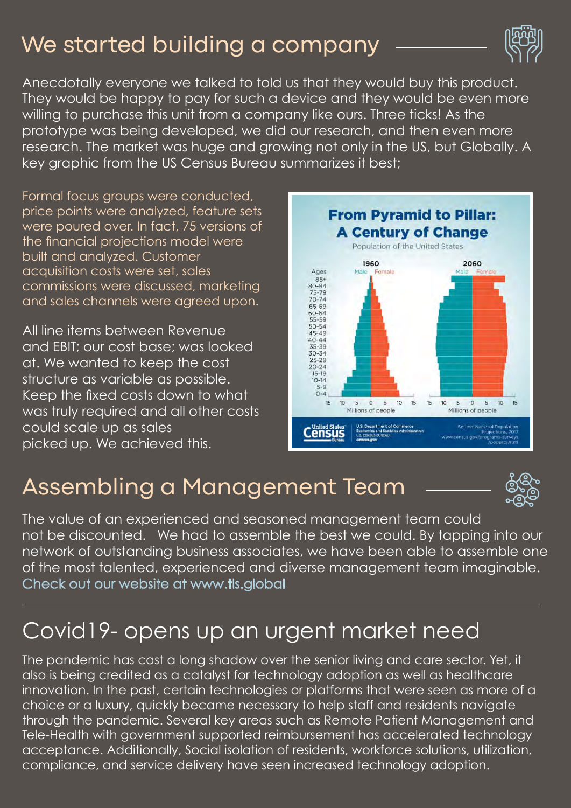## We started building a company



Anecdotally everyone we talked to told us that they would buy this product. They would be happy to pay for such a device and they would be even more willing to purchase this unit from a company like ours. Three ticks! As the prototype was being developed, we did our research, and then even more research. The market was huge and growing not only in the US, but Globally. A key graphic from the US Census Bureau summarizes it best;

Formal focus groups were conducted, price points were analyzed, feature sets were poured over. In fact, 75 versions of the financial projections model were built and analyzed. Customer acquisition costs were set, sales commissions were discussed, marketing and sales channels were agreed upon.

All line items between Revenue and EBIT; our cost base; was looked at. We wanted to keep the cost structure as variable as possible. Keep the fixed costs down to what was truly required and all other costs could scale up as sales picked up. We achieved this.



#### Assembling a Management Team



The value of an experienced and seasoned management team could not be discounted. We had to assemble the best we could. By tapping into our network of outstanding business associates, we have been able to assemble one of the most talented, experienced and diverse management team imaginable. Check out our website at www.tls.global

## Covid19- opens up an urgent market need

The pandemic has cast a long shadow over the senior living and care sector. Yet, it also is being credited as a catalyst for technology adoption as well as healthcare innovation. In the past, certain technologies or platforms that were seen as more of a choice or a luxury, quickly became necessary to help staff and residents navigate through the pandemic. Several key areas such as Remote Patient Management and Tele-Health with government supported reimbursement has accelerated technology acceptance. Additionally, Social isolation of residents, workforce solutions, utilization, compliance, and service delivery have seen increased technology adoption.